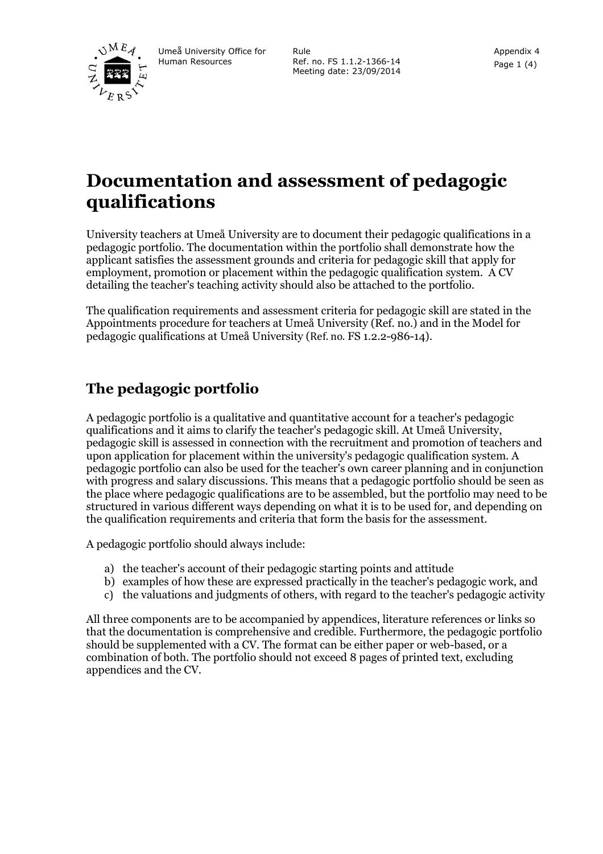

Umeå University Office for Human Resources

Rule Ref. no. FS 1.1.2-1366-14 Meeting date: 23/09/2014

# **Documentation and assessment of pedagogic qualifications**

University teachers at Umeå University are to document their pedagogic qualifications in a pedagogic portfolio. The documentation within the portfolio shall demonstrate how the applicant satisfies the assessment grounds and criteria for pedagogic skill that apply for employment, promotion or placement within the pedagogic qualification system. A CV detailing the teacher's teaching activity should also be attached to the portfolio.

The qualification requirements and assessment criteria for pedagogic skill are stated in the Appointments procedure for teachers at Umeå University (Ref. no.) and in the Model for pedagogic qualifications at Umeå University (Ref. no. FS 1.2.2-986-14).

### **The pedagogic portfolio**

A pedagogic portfolio is a qualitative and quantitative account for a teacher's pedagogic qualifications and it aims to clarify the teacher's pedagogic skill. At Umeå University, pedagogic skill is assessed in connection with the recruitment and promotion of teachers and upon application for placement within the university's pedagogic qualification system. A pedagogic portfolio can also be used for the teacher's own career planning and in conjunction with progress and salary discussions. This means that a pedagogic portfolio should be seen as the place where pedagogic qualifications are to be assembled, but the portfolio may need to be structured in various different ways depending on what it is to be used for, and depending on the qualification requirements and criteria that form the basis for the assessment.

A pedagogic portfolio should always include:

- a) the teacher's account of their pedagogic starting points and attitude
- b) examples of how these are expressed practically in the teacher's pedagogic work, and
- c) the valuations and judgments of others, with regard to the teacher's pedagogic activity

All three components are to be accompanied by appendices, literature references or links so that the documentation is comprehensive and credible. Furthermore, the pedagogic portfolio should be supplemented with a CV. The format can be either paper or web-based, or a combination of both. The portfolio should not exceed 8 pages of printed text, excluding appendices and the CV.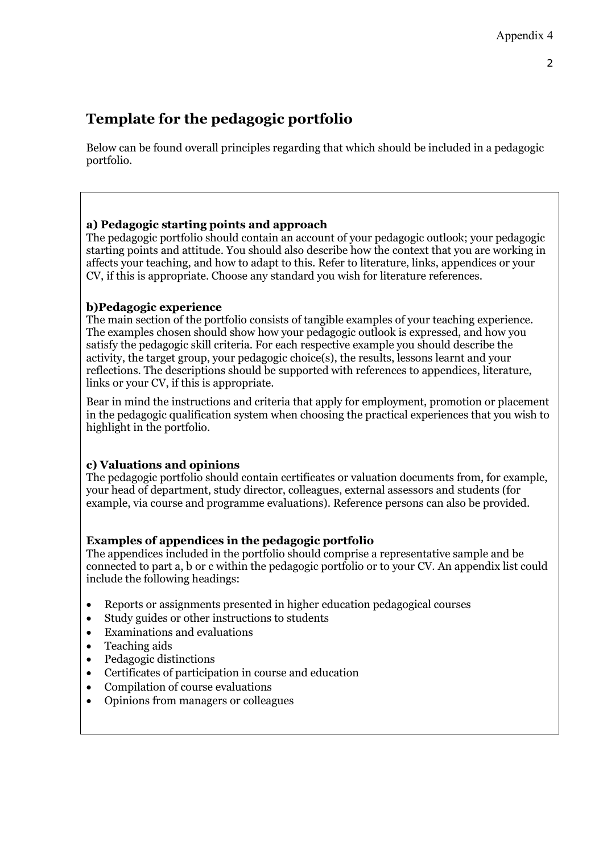# **Template for the pedagogic portfolio**

Below can be found overall principles regarding that which should be included in a pedagogic portfolio.

#### **a) Pedagogic starting points and approach**

The pedagogic portfolio should contain an account of your pedagogic outlook; your pedagogic starting points and attitude. You should also describe how the context that you are working in affects your teaching, and how to adapt to this. Refer to literature, links, appendices or your CV, if this is appropriate. Choose any standard you wish for literature references.

#### **b)Pedagogic experience**

The main section of the portfolio consists of tangible examples of your teaching experience. The examples chosen should show how your pedagogic outlook is expressed, and how you satisfy the pedagogic skill criteria. For each respective example you should describe the activity, the target group, your pedagogic choice(s), the results, lessons learnt and your reflections. The descriptions should be supported with references to appendices, literature, links or your CV, if this is appropriate.

Bear in mind the instructions and criteria that apply for employment, promotion or placement in the pedagogic qualification system when choosing the practical experiences that you wish to highlight in the portfolio.

### **c) Valuations and opinions**

The pedagogic portfolio should contain certificates or valuation documents from, for example, your head of department, study director, colleagues, external assessors and students (for example, via course and programme evaluations). Reference persons can also be provided.

### **Examples of appendices in the pedagogic portfolio**

The appendices included in the portfolio should comprise a representative sample and be connected to part a, b or c within the pedagogic portfolio or to your CV. An appendix list could include the following headings:

- Reports or assignments presented in higher education pedagogical courses
- Study guides or other instructions to students
- Examinations and evaluations
- Teaching aids
- Pedagogic distinctions
- Certificates of participation in course and education
- Compilation of course evaluations
- Opinions from managers or colleagues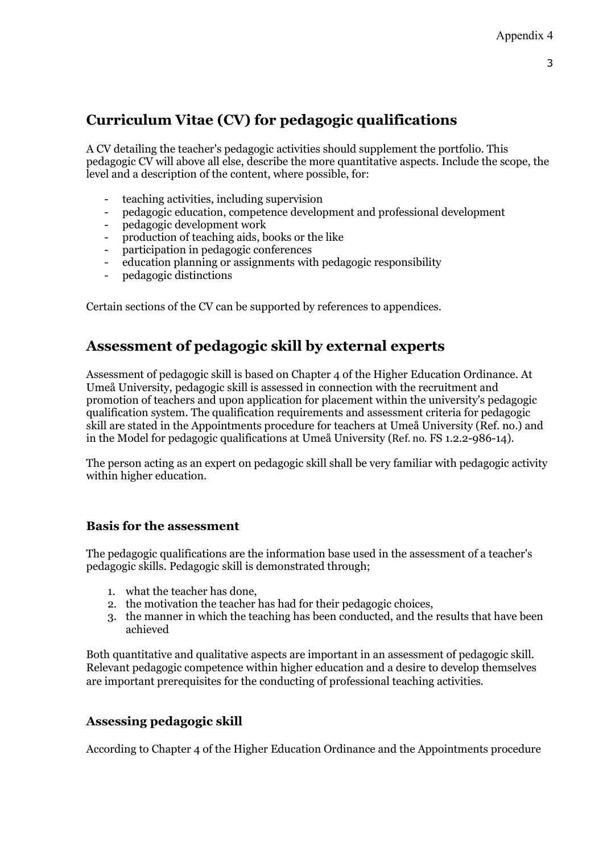## **Curriculum Vitae (CV) for pedagogic qualifications**

A CV detailing the teacher's pedagogic activities should supplement the portfolio. This pedagogic CV will above all else, describe the more quantitative aspects. Include the scope, the level and a description of the content, where possible, for:

- teaching activities, including supervision
- pedagogic education, competence development and professional development
- pedagogic development work
- production of teaching aids, books or the like
- participation in pedagogic conferences
- education planning or assignments with pedagogic responsibility
- pedagogic distinctions

Certain sections of the CV can be supported by references to appendices.

### **Assessment of pedagogic skill by external experts**

Assessment of pedagogic skill is based on Chapter 4 of the Higher Education Ordinance. At Umeå University, pedagogic skill is assessed in connection with the recruitment and promotion of teachers and upon application for placement within the university's pedagogic qualification system. The qualification requirements and assessment criteria for pedagogic skill are stated in the Appointments procedure for teachers at Umeå University (Ref. no.) and in the Model for pedagogic qualifications at Umeå University (Ref. no. FS 1.2.2-986-14).

The person acting as an expert on pedagogic skill shall be very familiar with pedagogic activity within higher education.

### **Basis for the assessment**

The pedagogic qualifications are the information base used in the assessment of a teacher's pedagogic skills. Pedagogic skill is demonstrated through;

- 1. what the teacher has done,
- 2. the motivation the teacher has had for their pedagogic choices,
- 3. the manner in which the teaching has been conducted, and the results that have been achieved

Both quantitative and qualitative aspects are important in an assessment of pedagogic skill. Relevant pedagogic competence within higher education and a desire to develop themselves are important prerequisites for the conducting of professional teaching activities.

### **Assessing pedagogic skill**

According to Chapter 4 of the Higher Education Ordinance and the Appointments procedure